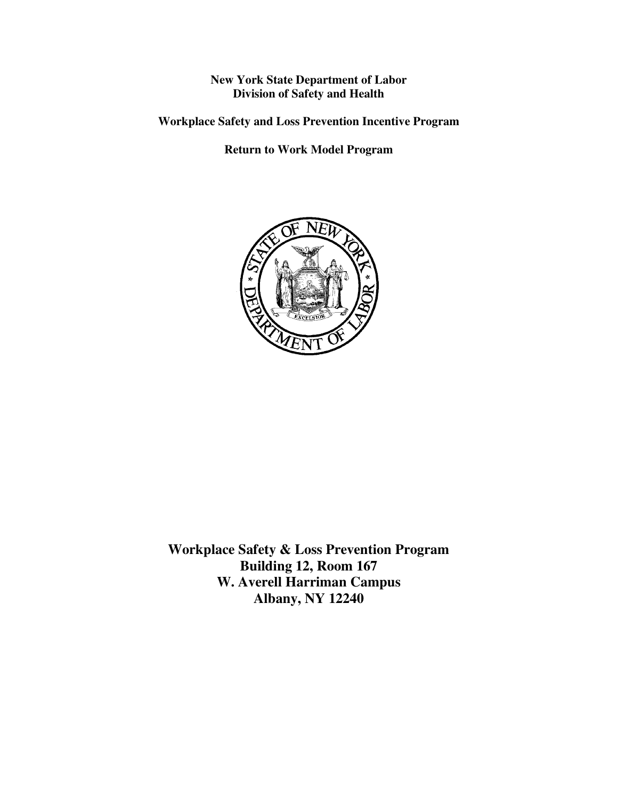**New York State Department of Labor Division of Safety and Health** 

**Workplace Safety and Loss Prevention Incentive Program** 

**Return to Work Model Program** 



**Workplace Safety & Loss Prevention Program Building 12, Room 167 W. Averell Harriman Campus Albany, NY 12240**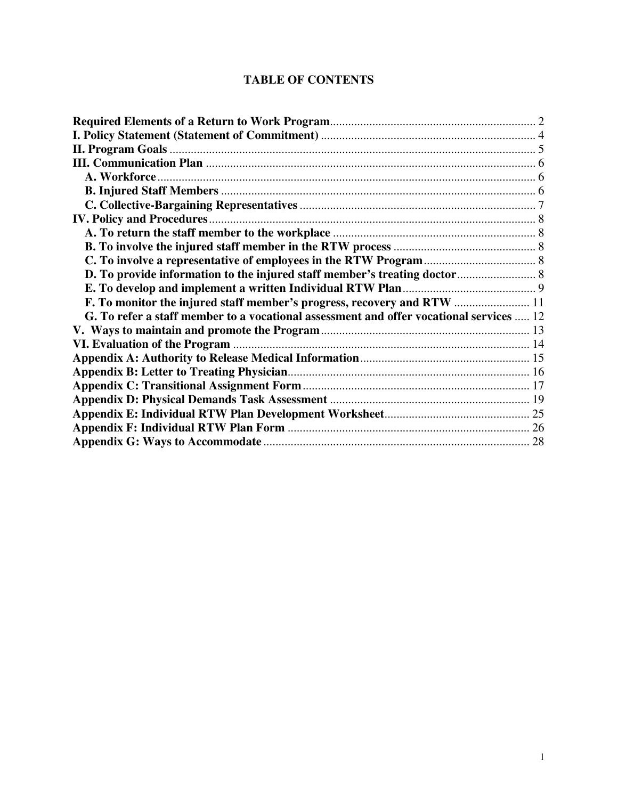# **TABLE OF CONTENTS**

| G. To refer a staff member to a vocational assessment and offer vocational services  12 |  |
|-----------------------------------------------------------------------------------------|--|
|                                                                                         |  |
|                                                                                         |  |
|                                                                                         |  |
|                                                                                         |  |
|                                                                                         |  |
|                                                                                         |  |
|                                                                                         |  |
|                                                                                         |  |
|                                                                                         |  |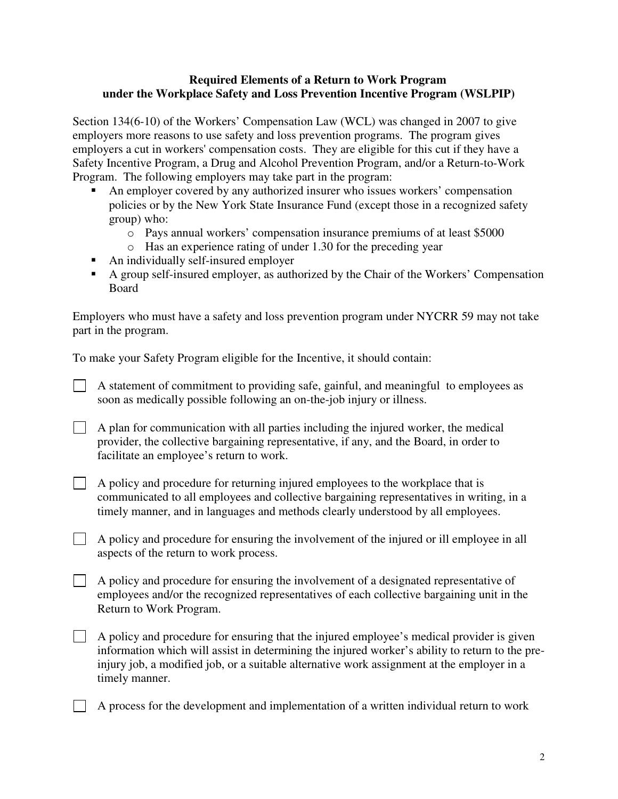## <span id="page-2-0"></span>**Required Elements of a Return to Work Program under the Workplace Safety and Loss Prevention Incentive Program (WSLPIP)**

Section 134(6-10) of the Workers' Compensation Law (WCL) was changed in 2007 to give employers more reasons to use safety and loss prevention programs. The program gives employers a cut in workers' compensation costs. They are eligible for this cut if they have a Safety Incentive Program, a Drug and Alcohol Prevention Program, and/or a Return-to-Work Program. The following employers may take part in the program:

- An employer covered by any authorized insurer who issues workers' compensation policies or by the New York State Insurance Fund (except those in a recognized safety group) who:
	- o Pays annual workers' compensation insurance premiums of at least \$5000
	- o Has an experience rating of under 1.30 for the preceding year
- An individually self-insured employer
- A group self-insured employer, as authorized by the Chair of the Workers' Compensation Board

Employers who must have a safety and loss prevention program under NYCRR 59 may not take part in the program.

To make your Safety Program eligible for the Incentive, it should contain:

 $\Box$  A statement of commitment to providing safe, gainful, and meaningful to employees as soon as medically possible following an on-the-job injury or illness.

 $\Box$  A plan for communication with all parties including the injured worker, the medical provider, the collective bargaining representative, if any, and the Board, in order to facilitate an employee's return to work.

 $\Box$  A policy and procedure for returning injured employees to the workplace that is communicated to all employees and collective bargaining representatives in writing, in a timely manner, and in languages and methods clearly understood by all employees.

 $\Box$  A policy and procedure for ensuring the involvement of the injured or ill employee in all aspects of the return to work process.

A policy and procedure for ensuring the involvement of a designated representative of employees and/or the recognized representatives of each collective bargaining unit in the Return to Work Program.

 $\Box$  A policy and procedure for ensuring that the injured employee's medical provider is given information which will assist in determining the injured worker's ability to return to the preinjury job, a modified job, or a suitable alternative work assignment at the employer in a timely manner.

A process for the development and implementation of a written individual return to work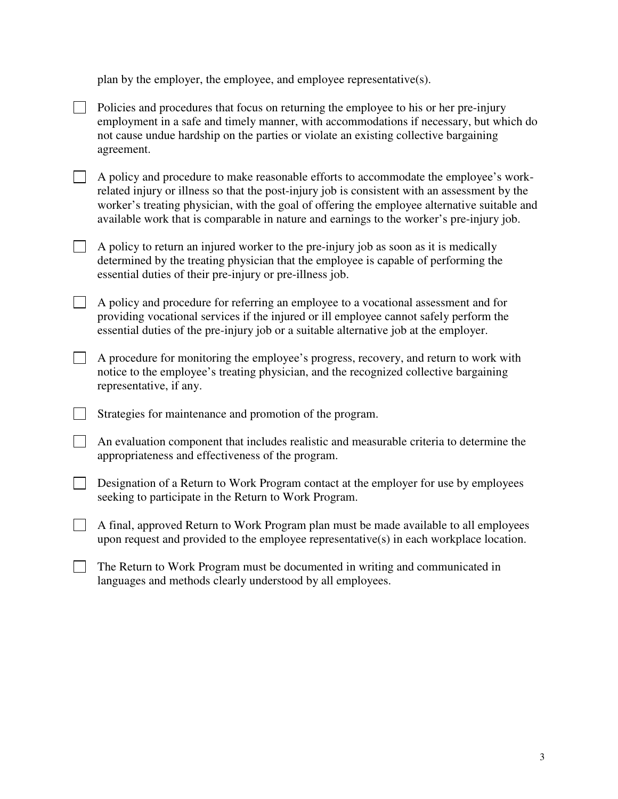plan by the employer, the employee, and employee representative(s).

|  | Policies and procedures that focus on returning the employee to his or her pre-injury<br>employment in a safe and timely manner, with accommodations if necessary, but which do<br>not cause undue hardship on the parties or violate an existing collective bargaining<br>agreement.                                                                                              |
|--|------------------------------------------------------------------------------------------------------------------------------------------------------------------------------------------------------------------------------------------------------------------------------------------------------------------------------------------------------------------------------------|
|  | A policy and procedure to make reasonable efforts to accommodate the employee's work-<br>related injury or illness so that the post-injury job is consistent with an assessment by the<br>worker's treating physician, with the goal of offering the employee alternative suitable and<br>available work that is comparable in nature and earnings to the worker's pre-injury job. |
|  | A policy to return an injured worker to the pre-injury job as soon as it is medically<br>determined by the treating physician that the employee is capable of performing the<br>essential duties of their pre-injury or pre-illness job.                                                                                                                                           |
|  | A policy and procedure for referring an employee to a vocational assessment and for<br>providing vocational services if the injured or ill employee cannot safely perform the<br>essential duties of the pre-injury job or a suitable alternative job at the employer.                                                                                                             |
|  | A procedure for monitoring the employee's progress, recovery, and return to work with<br>notice to the employee's treating physician, and the recognized collective bargaining<br>representative, if any.                                                                                                                                                                          |
|  | Strategies for maintenance and promotion of the program.                                                                                                                                                                                                                                                                                                                           |
|  | An evaluation component that includes realistic and measurable criteria to determine the<br>appropriateness and effectiveness of the program.                                                                                                                                                                                                                                      |
|  | Designation of a Return to Work Program contact at the employer for use by employees<br>seeking to participate in the Return to Work Program.                                                                                                                                                                                                                                      |
|  | A final, approved Return to Work Program plan must be made available to all employees<br>upon request and provided to the employee representative(s) in each workplace location.                                                                                                                                                                                                   |
|  | The Return to Work Program must be documented in writing and communicated in                                                                                                                                                                                                                                                                                                       |

languages and methods clearly understood by all employees.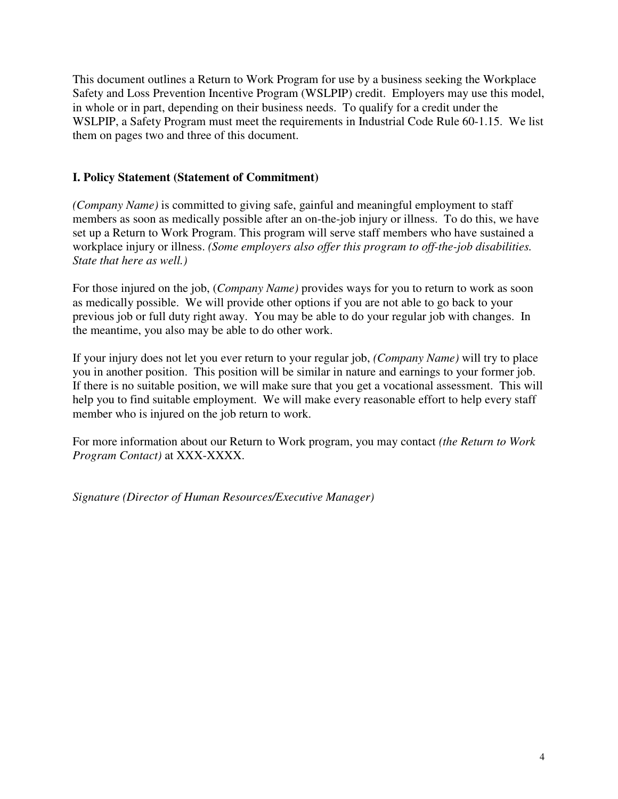<span id="page-4-0"></span>This document outlines a Return to Work Program for use by a business seeking the Workplace Safety and Loss Prevention Incentive Program (WSLPIP) credit. Employers may use this model, in whole or in part, depending on their business needs. To qualify for a credit under the WSLPIP, a Safety Program must meet the requirements in Industrial Code Rule 60-1.15. We list them on pages two and three of this document.

# **I. Policy Statement (Statement of Commitment)**

*(Company Name)* is committed to giving safe, gainful and meaningful employment to staff members as soon as medically possible after an on-the-job injury or illness. To do this, we have set up a Return to Work Program. This program will serve staff members who have sustained a workplace injury or illness. *(Some employers also offer this program to off-the-job disabilities. State that here as well.)* 

For those injured on the job, (*Company Name)* provides ways for you to return to work as soon as medically possible. We will provide other options if you are not able to go back to your previous job or full duty right away. You may be able to do your regular job with changes. In the meantime, you also may be able to do other work.

If your injury does not let you ever return to your regular job, *(Company Name)* will try to place you in another position. This position will be similar in nature and earnings to your former job. If there is no suitable position, we will make sure that you get a vocational assessment. This will help you to find suitable employment. We will make every reasonable effort to help every staff member who is injured on the job return to work.

For more information about our Return to Work program, you may contact *(the Return to Work Program Contact)* at XXX-XXXX.

*Signature (Director of Human Resources/Executive Manager)*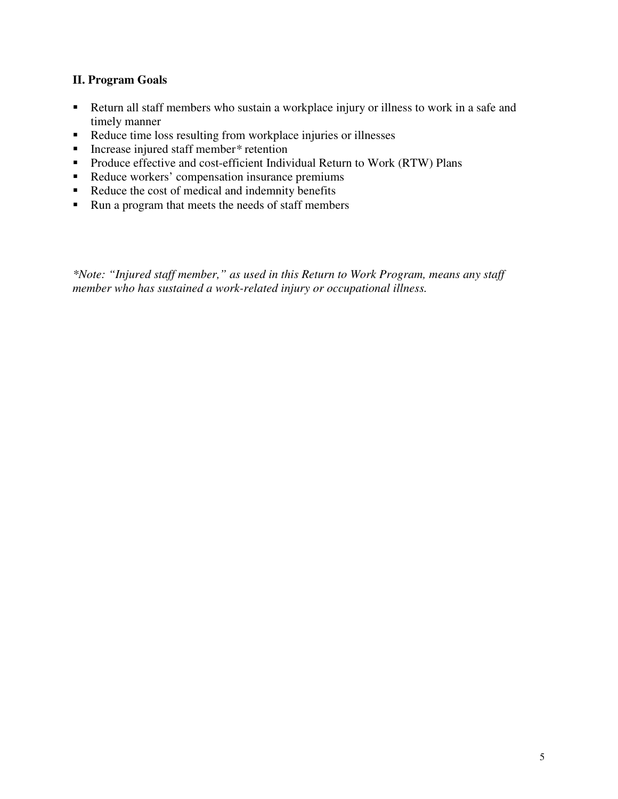# <span id="page-5-0"></span>**II. Program Goals**

- Return all staff members who sustain a workplace injury or illness to work in a safe and timely manner
- Reduce time loss resulting from workplace injuries or illnesses
- Increase injured staff member*\** retention
- **Produce effective and cost-efficient Individual Return to Work (RTW) Plans**
- Reduce workers' compensation insurance premiums
- Reduce the cost of medical and indemnity benefits
- Run a program that meets the needs of staff members

*\*Note: "Injured staff member," as used in this Return to Work Program, means any staff member who has sustained a work-related injury or occupational illness.*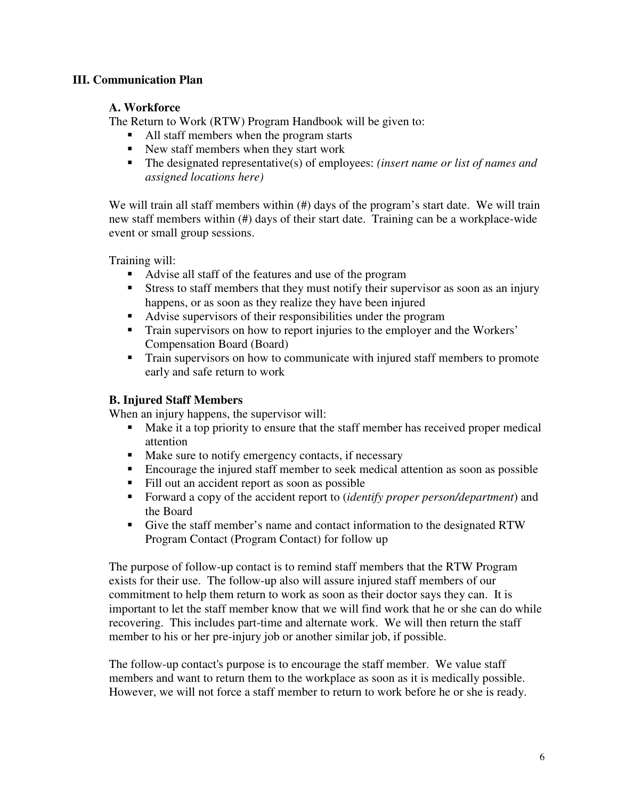# <span id="page-6-0"></span>**III. Communication Plan**

## **A. Workforce**

The Return to Work (RTW) Program Handbook will be given to:

- In All staff members when the program starts
- New staff members when they start work
- The designated representative(s) of employees: *(insert name or list of names and assigned locations here)*

We will train all staff members within (#) days of the program's start date. We will train new staff members within (#) days of their start date. Training can be a workplace-wide event or small group sessions.

Training will:

- Advise all staff of the features and use of the program
- Stress to staff members that they must notify their supervisor as soon as an injury happens, or as soon as they realize they have been injured
- Advise supervisors of their responsibilities under the program
- **Train supervisors on how to report injuries to the employer and the Workers'** Compensation Board (Board)
- **Train supervisors on how to communicate with injured staff members to promote** early and safe return to work

# **B. Injured Staff Members**

When an injury happens, the supervisor will:

- Make it a top priority to ensure that the staff member has received proper medical attention
- Make sure to notify emergency contacts, if necessary
- Encourage the injured staff member to seek medical attention as soon as possible
- Fill out an accident report as soon as possible
- Forward a copy of the accident report to (*identify proper person/department*) and the Board
- Give the staff member's name and contact information to the designated RTW Program Contact (Program Contact) for follow up

The purpose of follow-up contact is to remind staff members that the RTW Program exists for their use. The follow-up also will assure injured staff members of our commitment to help them return to work as soon as their doctor says they can. It is important to let the staff member know that we will find work that he or she can do while recovering. This includes part-time and alternate work. We will then return the staff member to his or her pre-injury job or another similar job, if possible.

The follow-up contact's purpose is to encourage the staff member. We value staff members and want to return them to the workplace as soon as it is medically possible. However, we will not force a staff member to return to work before he or she is ready.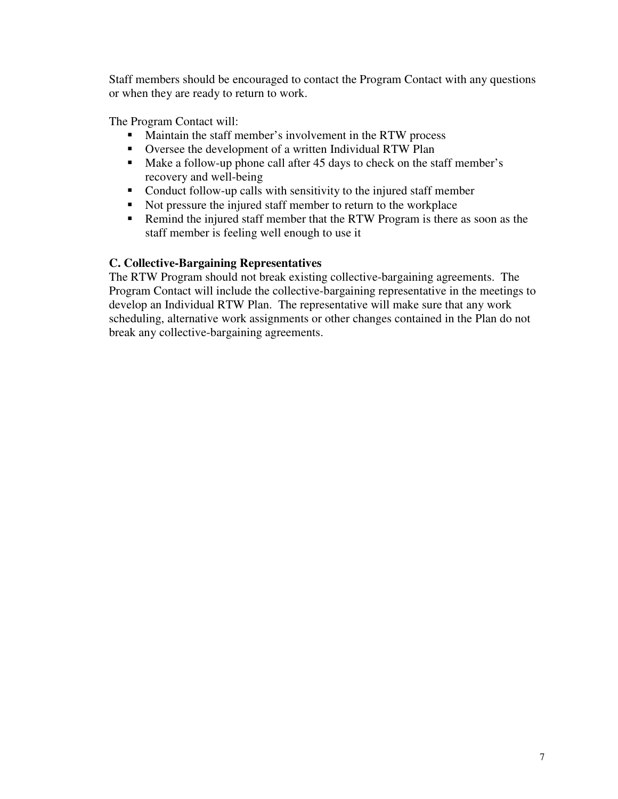<span id="page-7-0"></span>Staff members should be encouraged to contact the Program Contact with any questions or when they are ready to return to work.

The Program Contact will:

- Maintain the staff member's involvement in the RTW process
- Oversee the development of a written Individual RTW Plan
- Make a follow-up phone call after 45 days to check on the staff member's recovery and well-being
- Conduct follow-up calls with sensitivity to the injured staff member
- Not pressure the injured staff member to return to the workplace
- Remind the injured staff member that the RTW Program is there as soon as the staff member is feeling well enough to use it

## **C. Collective-Bargaining Representatives**

The RTW Program should not break existing collective-bargaining agreements. The Program Contact will include the collective-bargaining representative in the meetings to develop an Individual RTW Plan. The representative will make sure that any work scheduling, alternative work assignments or other changes contained in the Plan do not break any collective-bargaining agreements.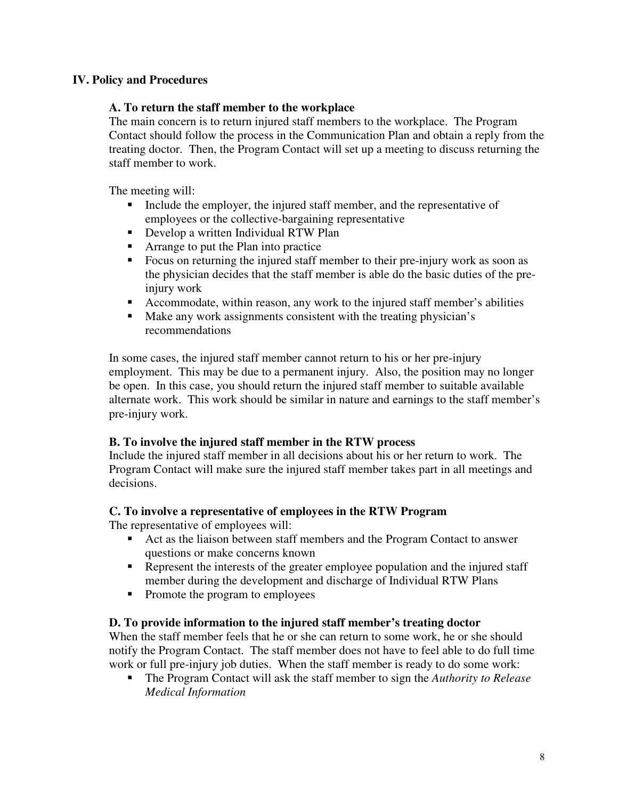# <span id="page-8-0"></span>**IV. Policy and Procedures**

#### **A. To return the staff member to the workplace**

The main concern is to return injured staff members to the workplace. The Program Contact should follow the process in the Communication Plan and obtain a reply from the treating doctor. Then, the Program Contact will set up a meeting to discuss returning the staff member to work.

The meeting will:

- Include the employer, the injured staff member, and the representative of employees or the collective-bargaining representative
- **Develop a written Individual RTW Plan**
- Arrange to put the Plan into practice
- Focus on returning the injured staff member to their pre-injury work as soon as the physician decides that the staff member is able do the basic duties of the preinjury work
- Accommodate, within reason, any work to the injured staff member's abilities
- Make any work assignments consistent with the treating physician's recommendations

In some cases, the injured staff member cannot return to his or her pre-injury employment. This may be due to a permanent injury. Also, the position may no longer be open. In this case, you should return the injured staff member to suitable available alternate work. This work should be similar in nature and earnings to the staff member's pre-injury work.

#### **B. To involve the injured staff member in the RTW process**

Include the injured staff member in all decisions about his or her return to work. The Program Contact will make sure the injured staff member takes part in all meetings and decisions.

#### **C. To involve a representative of employees in the RTW Program**

The representative of employees will:

- Act as the liaison between staff members and the Program Contact to answer questions or make concerns known
- Represent the interests of the greater employee population and the injured staff member during the development and discharge of Individual RTW Plans
- Promote the program to employees

#### **D. To provide information to the injured staff member's treating doctor**

When the staff member feels that he or she can return to some work, he or she should notify the Program Contact. The staff member does not have to feel able to do full time work or full pre-injury job duties. When the staff member is ready to do some work:

 The Program Contact will ask the staff member to sign the *Authority to Release Medical Information*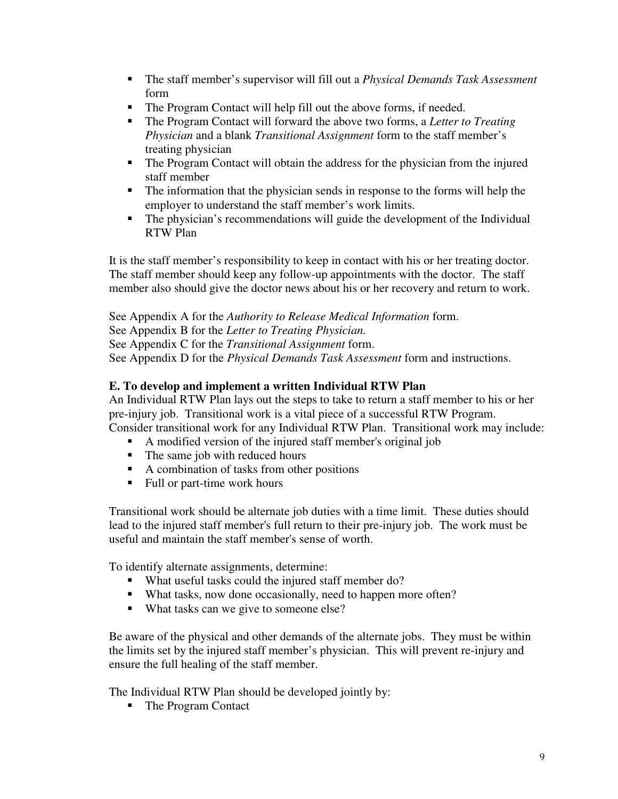- <span id="page-9-0"></span> The staff member's supervisor will fill out a *Physical Demands Task Assessment* form
- The Program Contact will help fill out the above forms, if needed.
- The Program Contact will forward the above two forms, a *Letter to Treating Physician* and a blank *Transitional Assignment* form to the staff member's treating physician
- The Program Contact will obtain the address for the physician from the injured staff member
- The information that the physician sends in response to the forms will help the employer to understand the staff member's work limits.
- The physician's recommendations will guide the development of the Individual RTW Plan

It is the staff member's responsibility to keep in contact with his or her treating doctor. The staff member should keep any follow-up appointments with the doctor. The staff member also should give the doctor news about his or her recovery and return to work.

See Appendix A for the *Authority to Release Medical Information* form. See Appendix B for the *Letter to Treating Physician.* See Appendix C for the *Transitional Assignment* form. See Appendix D for the *Physical Demands Task Assessment* form and instructions.

# **E. To develop and implement a written Individual RTW Plan**

An Individual RTW Plan lays out the steps to take to return a staff member to his or her pre-injury job. Transitional work is a vital piece of a successful RTW Program. Consider transitional work for any Individual RTW Plan. Transitional work may include:

- A modified version of the injured staff member's original job
- The same job with reduced hours
- A combination of tasks from other positions
- Full or part-time work hours

Transitional work should be alternate job duties with a time limit. These duties should lead to the injured staff member's full return to their pre-injury job. The work must be useful and maintain the staff member's sense of worth.

To identify alternate assignments, determine:

- What useful tasks could the injured staff member do?
- What tasks, now done occasionally, need to happen more often?
- What tasks can we give to someone else?

Be aware of the physical and other demands of the alternate jobs. They must be within the limits set by the injured staff member's physician. This will prevent re-injury and ensure the full healing of the staff member.

The Individual RTW Plan should be developed jointly by:

• The Program Contact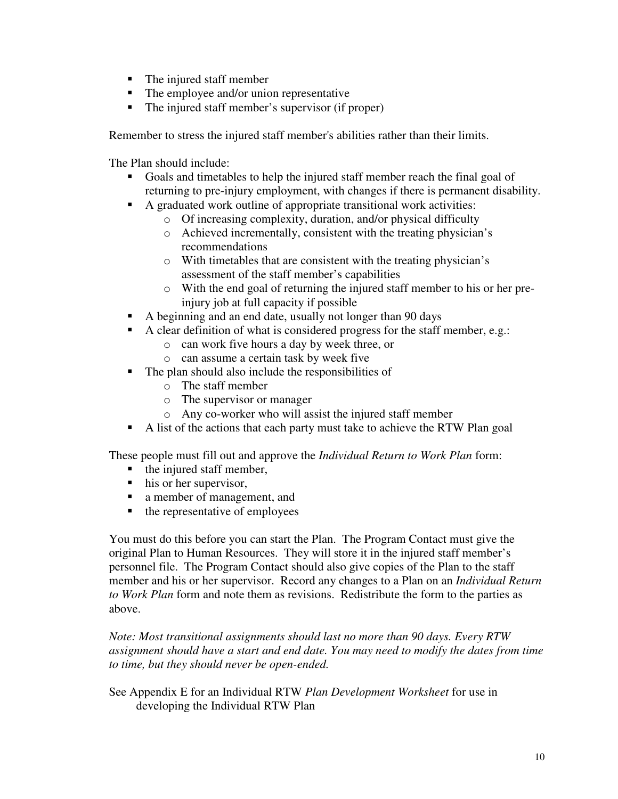- The injured staff member
- The employee and/or union representative
- The injured staff member's supervisor (if proper)

Remember to stress the injured staff member's abilities rather than their limits.

The Plan should include:

- Goals and timetables to help the injured staff member reach the final goal of returning to pre-injury employment, with changes if there is permanent disability.
- A graduated work outline of appropriate transitional work activities:
	- o Of increasing complexity, duration, and/or physical difficulty
	- o Achieved incrementally, consistent with the treating physician's recommendations
	- o With timetables that are consistent with the treating physician's assessment of the staff member's capabilities
	- o With the end goal of returning the injured staff member to his or her preinjury job at full capacity if possible
- A beginning and an end date, usually not longer than 90 days
- A clear definition of what is considered progress for the staff member, e.g.:
	- o can work five hours a day by week three, or
	- o can assume a certain task by week five
- $\blacksquare$  The plan should also include the responsibilities of
	- o The staff member
	- o The supervisor or manager
	- o Any co-worker who will assist the injured staff member
- A list of the actions that each party must take to achieve the RTW Plan goal

These people must fill out and approve the *Individual Return to Work Plan* form:

- $\blacksquare$  the injured staff member,
- $\blacksquare$  his or her supervisor,
- a member of management, and
- $\blacksquare$  the representative of employees

You must do this before you can start the Plan. The Program Contact must give the original Plan to Human Resources. They will store it in the injured staff member's personnel file. The Program Contact should also give copies of the Plan to the staff member and his or her supervisor. Record any changes to a Plan on an *Individual Return to Work Plan* form and note them as revisions. Redistribute the form to the parties as above.

*Note: Most transitional assignments should last no more than 90 days. Every RTW assignment should have a start and end date. You may need to modify the dates from time to time, but they should never be open-ended.* 

See Appendix E for an Individual RTW *Plan Development Worksheet* for use in developing the Individual RTW Plan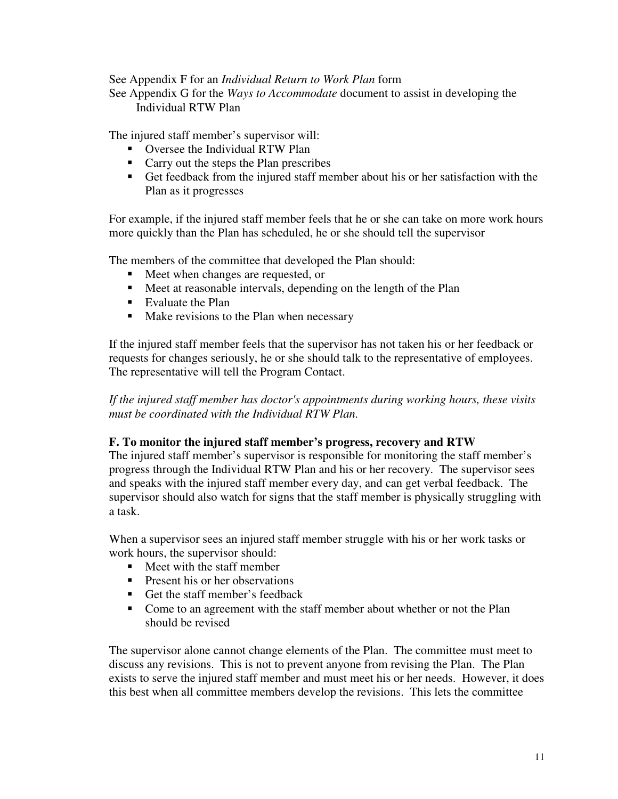#### <span id="page-11-0"></span>See Appendix F for an *Individual Return to Work Plan* form

See Appendix G for the *Ways to Accommodate* document to assist in developing the Individual RTW Plan

The injured staff member's supervisor will:

- Oversee the Individual RTW Plan
- Carry out the steps the Plan prescribes
- Get feedback from the injured staff member about his or her satisfaction with the Plan as it progresses

For example, if the injured staff member feels that he or she can take on more work hours more quickly than the Plan has scheduled, he or she should tell the supervisor

The members of the committee that developed the Plan should:

- Meet when changes are requested, or
- Meet at reasonable intervals, depending on the length of the Plan
- Evaluate the Plan
- Make revisions to the Plan when necessary

If the injured staff member feels that the supervisor has not taken his or her feedback or requests for changes seriously, he or she should talk to the representative of employees. The representative will tell the Program Contact.

*If the injured staff member has doctor's appointments during working hours, these visits must be coordinated with the Individual RTW Plan.*

#### **F. To monitor the injured staff member's progress, recovery and RTW**

The injured staff member's supervisor is responsible for monitoring the staff member's progress through the Individual RTW Plan and his or her recovery. The supervisor sees and speaks with the injured staff member every day, and can get verbal feedback. The supervisor should also watch for signs that the staff member is physically struggling with a task.

When a supervisor sees an injured staff member struggle with his or her work tasks or work hours, the supervisor should:

- Meet with the staff member
- **Present his or her observations**
- Get the staff member's feedback
- Come to an agreement with the staff member about whether or not the Plan should be revised

The supervisor alone cannot change elements of the Plan. The committee must meet to discuss any revisions. This is not to prevent anyone from revising the Plan. The Plan exists to serve the injured staff member and must meet his or her needs. However, it does this best when all committee members develop the revisions. This lets the committee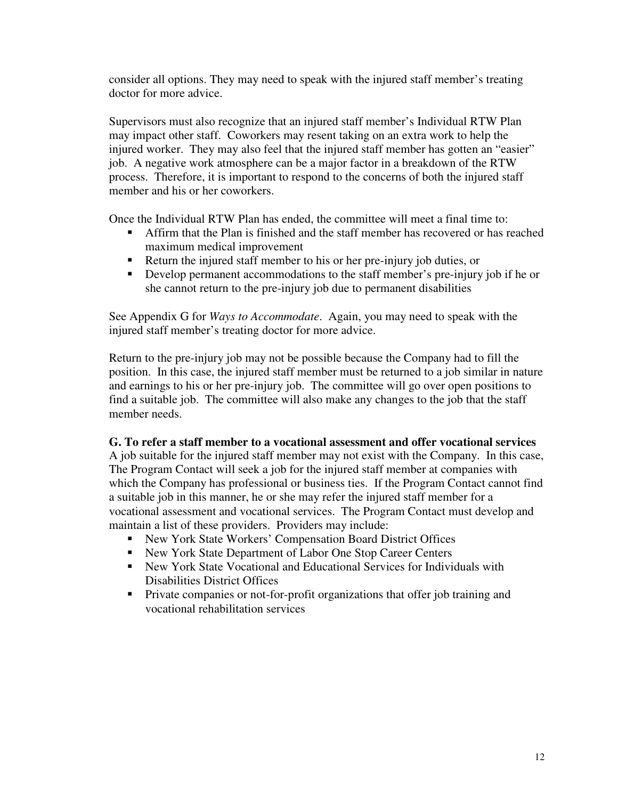<span id="page-12-0"></span>consider all options. They may need to speak with the injured staff member's treating doctor for more advice.

Supervisors must also recognize that an injured staff member's Individual RTW Plan may impact other staff. Coworkers may resent taking on an extra work to help the injured worker. They may also feel that the injured staff member has gotten an "easier" job. A negative work atmosphere can be a major factor in a breakdown of the RTW process. Therefore, it is important to respond to the concerns of both the injured staff member and his or her coworkers.

Once the Individual RTW Plan has ended, the committee will meet a final time to:

- Affirm that the Plan is finished and the staff member has recovered or has reached maximum medical improvement
- Return the injured staff member to his or her pre-injury job duties, or
- Develop permanent accommodations to the staff member's pre-injury job if he or she cannot return to the pre-injury job due to permanent disabilities

See Appendix G for *Ways to Accommodate*. Again, you may need to speak with the injured staff member's treating doctor for more advice.

Return to the pre-injury job may not be possible because the Company had to fill the position. In this case, the injured staff member must be returned to a job similar in nature and earnings to his or her pre-injury job. The committee will go over open positions to find a suitable job. The committee will also make any changes to the job that the staff member needs.

#### **G. To refer a staff member to a vocational assessment and offer vocational services**

A job suitable for the injured staff member may not exist with the Company. In this case, The Program Contact will seek a job for the injured staff member at companies with which the Company has professional or business ties. If the Program Contact cannot find a suitable job in this manner, he or she may refer the injured staff member for a vocational assessment and vocational services. The Program Contact must develop and maintain a list of these providers. Providers may include:

- New York State Workers' Compensation Board District Offices
- New York State Department of Labor One Stop Career Centers
- New York State Vocational and Educational Services for Individuals with Disabilities District Offices
- **Private companies or not-for-profit organizations that offer job training and** vocational rehabilitation services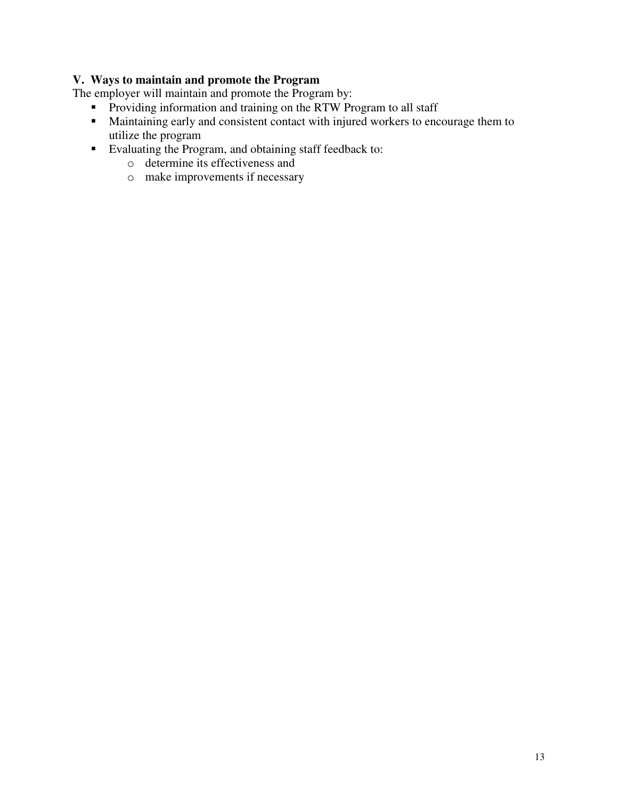# <span id="page-13-0"></span>**V. Ways to maintain and promote the Program**

The employer will maintain and promote the Program by:

- **Providing information and training on the RTW Program to all staff**
- Maintaining early and consistent contact with injured workers to encourage them to utilize the program
- Evaluating the Program, and obtaining staff feedback to:
	- o determine its effectiveness and
	- o make improvements if necessary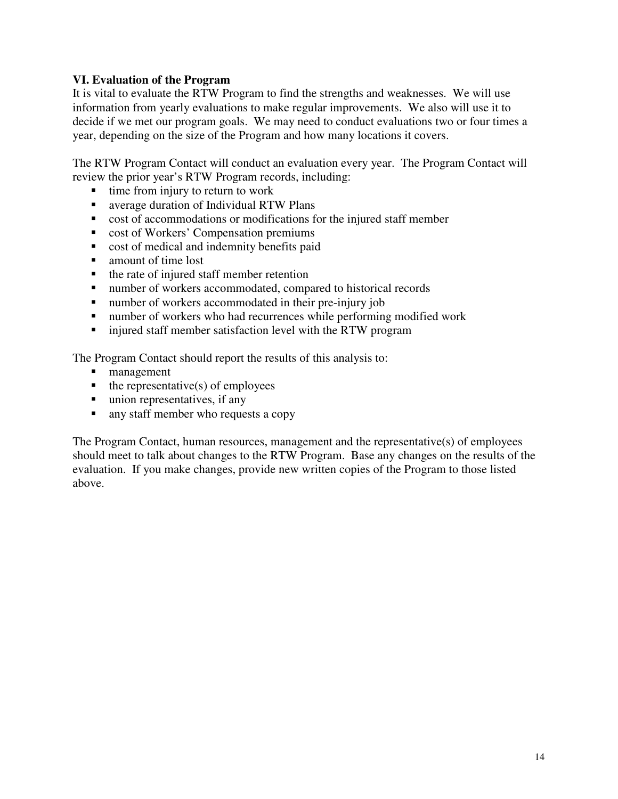# <span id="page-14-0"></span>**VI. Evaluation of the Program**

It is vital to evaluate the RTW Program to find the strengths and weaknesses. We will use information from yearly evaluations to make regular improvements. We also will use it to decide if we met our program goals. We may need to conduct evaluations two or four times a year, depending on the size of the Program and how many locations it covers.

The RTW Program Contact will conduct an evaluation every year. The Program Contact will review the prior year's RTW Program records, including:

- $\blacksquare$  time from injury to return to work
- average duration of Individual RTW Plans
- cost of accommodations or modifications for the injured staff member
- cost of Workers' Compensation premiums
- cost of medical and indemnity benefits paid
- amount of time lost
- $\blacksquare$  the rate of injured staff member retention
- number of workers accommodated, compared to historical records
- number of workers accommodated in their pre-injury job
- number of workers who had recurrences while performing modified work
- **ightharror injured staff member satisfaction level with the RTW program**

The Program Contact should report the results of this analysis to:

- **nanagement**
- $\blacksquare$  the representative(s) of employees
- $\blacksquare$  union representatives, if any
- **a** any staff member who requests a copy

The Program Contact, human resources, management and the representative(s) of employees should meet to talk about changes to the RTW Program. Base any changes on the results of the evaluation. If you make changes, provide new written copies of the Program to those listed above.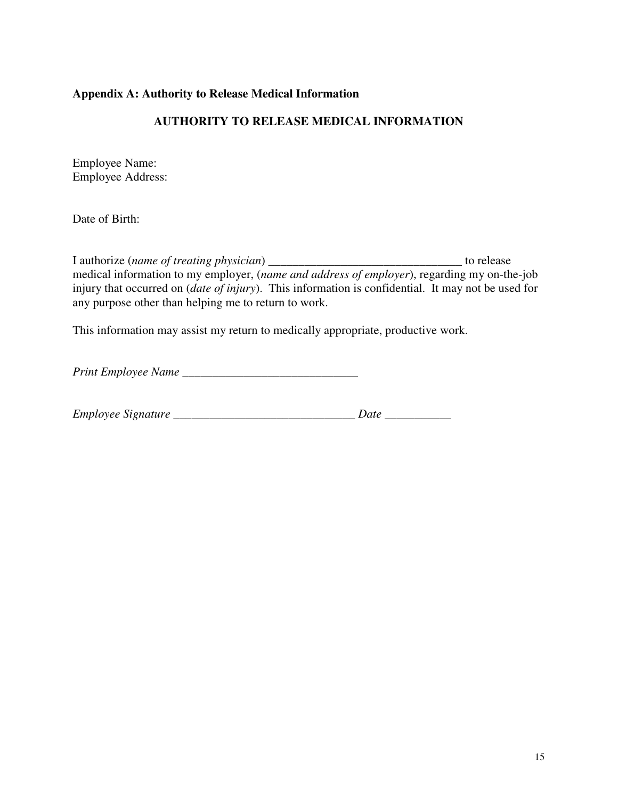## <span id="page-15-0"></span>**Appendix A: Authority to Release Medical Information**

# **AUTHORITY TO RELEASE MEDICAL INFORMATION**

Employee Name: Employee Address:

Date of Birth:

I authorize (*name of treating physician*) \_\_\_\_\_\_\_\_\_\_\_\_\_\_\_\_\_\_\_\_\_\_\_\_\_\_\_\_\_\_\_\_ to release medical information to my employer, (*name and address of employer*), regarding my on-the-job injury that occurred on (*date of injury*). This information is confidential. It may not be used for any purpose other than helping me to return to work.

This information may assist my return to medically appropriate, productive work.

*Print Employee Name* \_\_\_\_\_\_\_\_\_\_\_\_\_\_\_\_\_\_\_\_\_\_\_\_\_\_\_\_\_

| Employee Signature |  |  |
|--------------------|--|--|
|--------------------|--|--|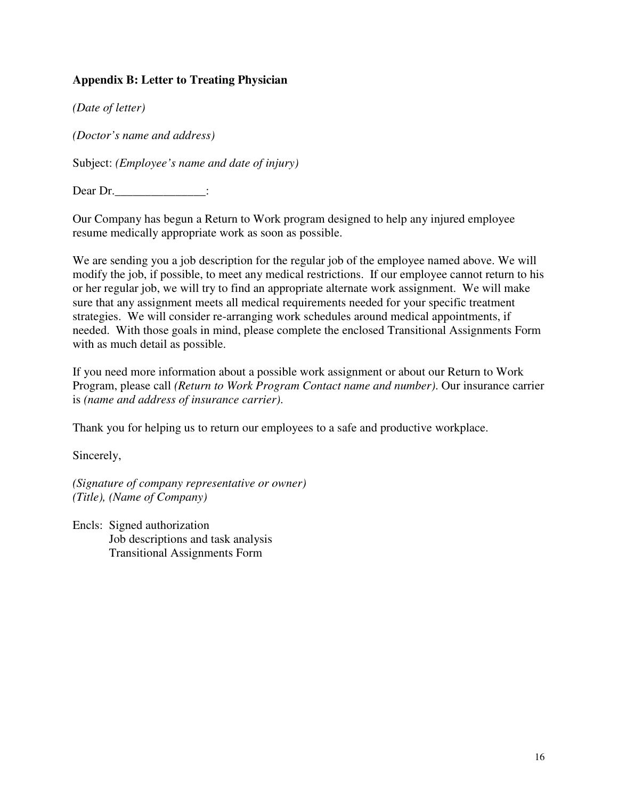# <span id="page-16-0"></span>**Appendix B: Letter to Treating Physician**

*(Date of letter)* 

*(Doctor's name and address)* 

Subject: *(Employee's name and date of injury)* 

Dear Dr.

Our Company has begun a Return to Work program designed to help any injured employee resume medically appropriate work as soon as possible.

We are sending you a job description for the regular job of the employee named above. We will modify the job, if possible, to meet any medical restrictions. If our employee cannot return to his or her regular job, we will try to find an appropriate alternate work assignment. We will make sure that any assignment meets all medical requirements needed for your specific treatment strategies. We will consider re-arranging work schedules around medical appointments, if needed. With those goals in mind, please complete the enclosed Transitional Assignments Form with as much detail as possible.

If you need more information about a possible work assignment or about our Return to Work Program, please call *(Return to Work Program Contact name and number)*. Our insurance carrier is *(name and address of insurance carrier)*.

Thank you for helping us to return our employees to a safe and productive workplace.

Sincerely,

*(Signature of company representative or owner) (Title), (Name of Company)* 

Encls: Signed authorization Job descriptions and task analysis Transitional Assignments Form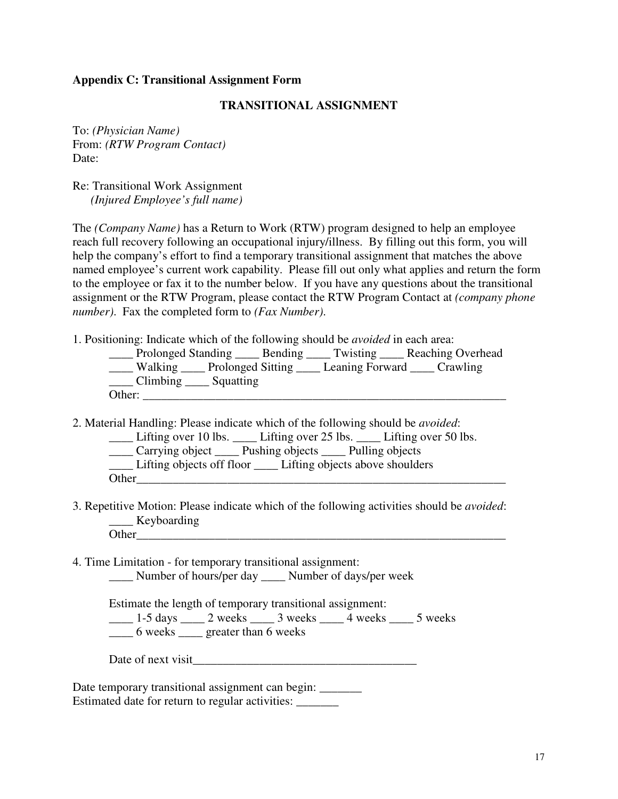#### <span id="page-17-0"></span>**Appendix C: Transitional Assignment Form**

#### **TRANSITIONAL ASSIGNMENT**

To: *(Physician Name)* From: *(RTW Program Contact)*  Date:

Re: Transitional Work Assignment *(Injured Employee's full name)* 

The *(Company Name)* has a Return to Work (RTW) program designed to help an employee reach full recovery following an occupational injury/illness. By filling out this form, you will help the company's effort to find a temporary transitional assignment that matches the above named employee's current work capability. Please fill out only what applies and return the form to the employee or fax it to the number below. If you have any questions about the transitional assignment or the RTW Program, please contact the RTW Program Contact at *(company phone number)*. Fax the completed form to *(Fax Number)*.

1. Positioning: Indicate which of the following should be *avoided* in each area:

| Prolonged Standing _____ Bending ____ |  | Twisting Reaching Overhead |
|---------------------------------------|--|----------------------------|
| Walking Prolonged Sitting             |  | Leaning Forward Crawling   |
| Climbing ______ Squatting             |  |                            |
| Other:                                |  |                            |

2. Material Handling: Please indicate which of the following should be *avoided*:

\_\_\_\_ Lifting over 10 lbs. \_\_\_\_ Lifting over 25 lbs. \_\_\_\_ Lifting over 50 lbs.

\_\_\_\_ Carrying object \_\_\_\_ Pushing objects \_\_\_\_ Pulling objects

\_\_\_\_ Lifting objects off floor \_\_\_\_ Lifting objects above shoulders

Other\_\_\_\_\_\_\_\_\_\_\_\_\_\_\_\_\_\_\_\_\_\_\_\_\_\_\_\_\_\_\_\_\_\_\_\_\_\_\_\_\_\_\_\_\_\_\_\_\_\_\_\_\_\_\_\_\_\_\_\_\_

3. Repetitive Motion: Please indicate which of the following activities should be *avoided*: Keyboarding Other\_\_\_\_\_\_\_\_\_\_\_\_\_\_\_\_\_\_\_\_\_\_\_\_\_\_\_\_\_\_\_\_\_\_\_\_\_\_\_\_\_\_\_\_\_\_\_\_\_\_\_\_\_\_\_\_\_\_\_\_\_

4. Time Limitation - for temporary transitional assignment: \_\_\_\_ Number of hours/per day \_\_\_\_ Number of days/per week

Estimate the length of temporary transitional assignment:

 $\frac{1}{2}$  1-5 days  $\frac{2}{2}$  weeks  $\frac{3}{2}$  weeks  $\frac{4}{2}$  weeks  $\frac{5}{2}$  weeks

\_\_\_\_ 6 weeks \_\_\_\_ greater than 6 weeks

Date temporary transitional assignment can begin: \_\_\_\_\_\_\_\_ Estimated date for return to regular activities: \_\_\_\_\_\_\_\_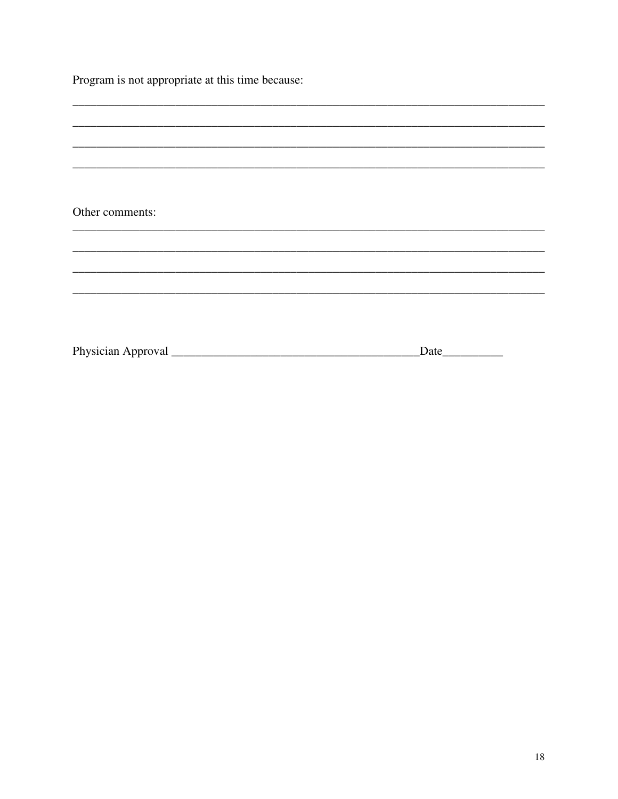| Program is not appropriate at this time because: |  |
|--------------------------------------------------|--|
|--------------------------------------------------|--|

| Other comments: |          |  |
|-----------------|----------|--|
|                 |          |  |
|                 |          |  |
|                 |          |  |
|                 |          |  |
|                 |          |  |
|                 |          |  |
|                 |          |  |
|                 |          |  |
|                 |          |  |
|                 |          |  |
|                 |          |  |
|                 |          |  |
|                 |          |  |
|                 |          |  |
|                 | Date____ |  |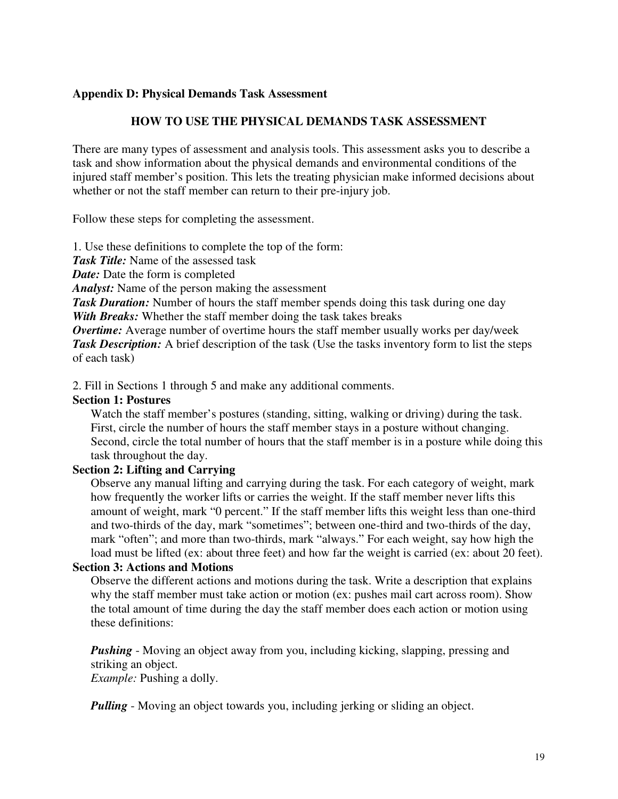#### <span id="page-19-0"></span>**Appendix D: Physical Demands Task Assessment**

#### **HOW TO USE THE PHYSICAL DEMANDS TASK ASSESSMENT**

There are many types of assessment and analysis tools. This assessment asks you to describe a task and show information about the physical demands and environmental conditions of the injured staff member's position. This lets the treating physician make informed decisions about whether or not the staff member can return to their pre-injury job.

Follow these steps for completing the assessment.

1. Use these definitions to complete the top of the form:

*Task Title:* Name of the assessed task

*Date:* Date the form is completed

*Analyst:* Name of the person making the assessment

**Task Duration:** Number of hours the staff member spends doing this task during one day *With Breaks:* Whether the staff member doing the task takes breaks

*Overtime:* Average number of overtime hours the staff member usually works per day/week **Task Description:** A brief description of the task (Use the tasks inventory form to list the steps of each task)

2. Fill in Sections 1 through 5 and make any additional comments.

#### **Section 1: Postures**

Watch the staff member's postures (standing, sitting, walking or driving) during the task. First, circle the number of hours the staff member stays in a posture without changing. Second, circle the total number of hours that the staff member is in a posture while doing this task throughout the day.

#### **Section 2: Lifting and Carrying**

Observe any manual lifting and carrying during the task. For each category of weight, mark how frequently the worker lifts or carries the weight. If the staff member never lifts this amount of weight, mark "0 percent." If the staff member lifts this weight less than one-third and two-thirds of the day, mark "sometimes"; between one-third and two-thirds of the day, mark "often"; and more than two-thirds, mark "always." For each weight, say how high the load must be lifted (ex: about three feet) and how far the weight is carried (ex: about 20 feet).

#### **Section 3: Actions and Motions**

Observe the different actions and motions during the task. Write a description that explains why the staff member must take action or motion (ex: pushes mail cart across room). Show the total amount of time during the day the staff member does each action or motion using these definitions:

*Pushing* - Moving an object away from you, including kicking, slapping, pressing and striking an object. *Example:* Pushing a dolly.

*Pulling* - Moving an object towards you, including jerking or sliding an object.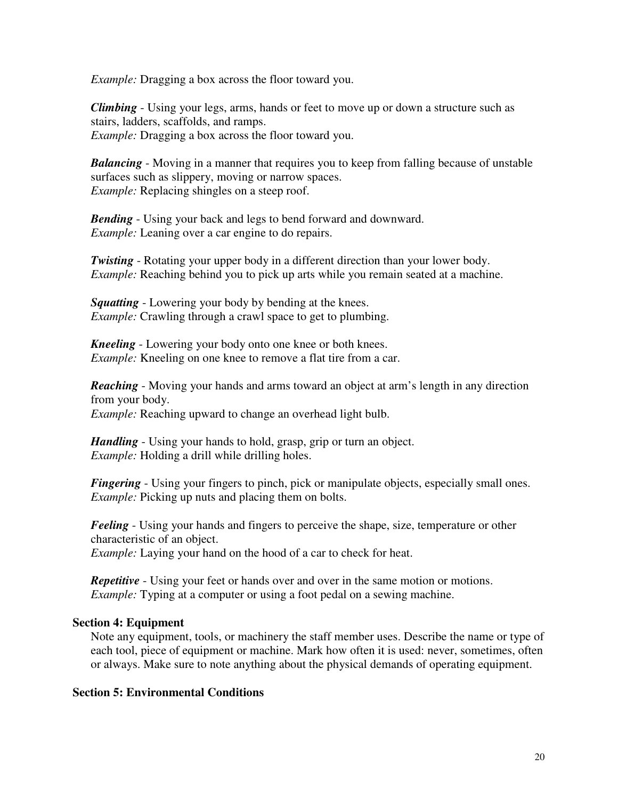*Example:* Dragging a box across the floor toward you.

*Climbing* - Using your legs, arms, hands or feet to move up or down a structure such as stairs, ladders, scaffolds, and ramps. *Example:* Dragging a box across the floor toward you.

*Balancing* - Moving in a manner that requires you to keep from falling because of unstable surfaces such as slippery, moving or narrow spaces. *Example:* Replacing shingles on a steep roof.

*Bending* - Using your back and legs to bend forward and downward. *Example:* Leaning over a car engine to do repairs.

*Twisting* - Rotating your upper body in a different direction than your lower body. *Example:* Reaching behind you to pick up arts while you remain seated at a machine.

*Squatting* - Lowering your body by bending at the knees. *Example:* Crawling through a crawl space to get to plumbing.

*Kneeling* - Lowering your body onto one knee or both knees. *Example:* Kneeling on one knee to remove a flat tire from a car.

*Reaching* - Moving your hands and arms toward an object at arm's length in any direction from your body.

*Example:* Reaching upward to change an overhead light bulb.

*Handling* - Using your hands to hold, grasp, grip or turn an object. *Example:* Holding a drill while drilling holes.

*Fingering* - Using your fingers to pinch, pick or manipulate objects, especially small ones. *Example:* Picking up nuts and placing them on bolts.

*Feeling* - Using your hands and fingers to perceive the shape, size, temperature or other characteristic of an object. *Example:* Laying your hand on the hood of a car to check for heat.

*Repetitive* - Using your feet or hands over and over in the same motion or motions. *Example:* Typing at a computer or using a foot pedal on a sewing machine.

# **Section 4: Equipment**

Note any equipment, tools, or machinery the staff member uses. Describe the name or type of each tool, piece of equipment or machine. Mark how often it is used: never, sometimes, often or always. Make sure to note anything about the physical demands of operating equipment.

#### **Section 5: Environmental Conditions**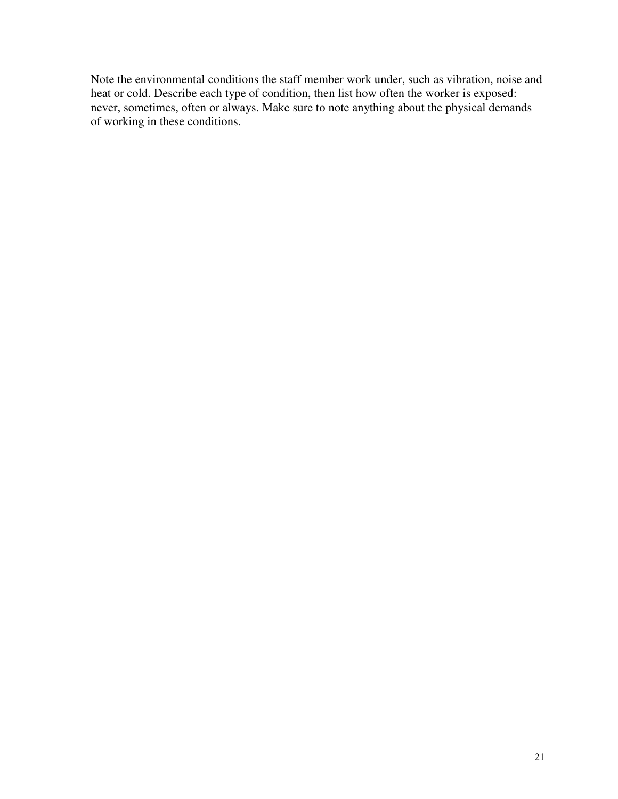Note the environmental conditions the staff member work under, such as vibration, noise and heat or cold. Describe each type of condition, then list how often the worker is exposed: never, sometimes, often or always. Make sure to note anything about the physical demands of working in these conditions.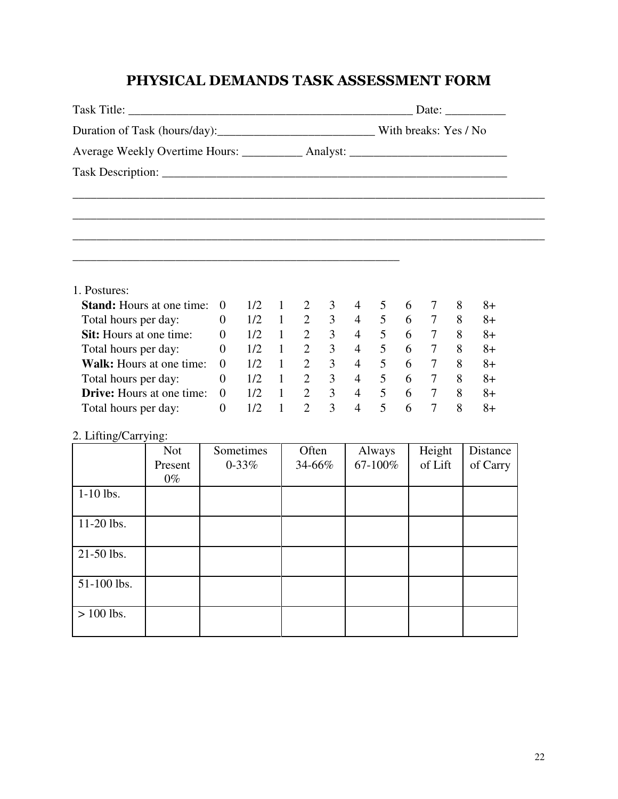# PHYSICAL DEMANDS TASK ASSESSMENT FORM

|                                                                                  |                |           |               |                             |                |                |                             |                |                   |   | Date: $\frac{1}{\sqrt{1-\frac{1}{2}} \cdot \frac{1}{2}}$ |
|----------------------------------------------------------------------------------|----------------|-----------|---------------|-----------------------------|----------------|----------------|-----------------------------|----------------|-------------------|---|----------------------------------------------------------|
|                                                                                  |                |           |               |                             |                |                |                             |                |                   |   |                                                          |
| Average Weekly Overtime Hours: ____________ Analyst: ___________________________ |                |           |               |                             |                |                |                             |                |                   |   |                                                          |
|                                                                                  |                |           |               |                             |                |                |                             |                |                   |   |                                                          |
|                                                                                  |                |           |               |                             |                |                |                             |                |                   |   |                                                          |
|                                                                                  |                |           |               |                             |                |                |                             |                |                   |   |                                                          |
| 1. Postures:                                                                     |                |           |               |                             |                |                |                             |                |                   |   |                                                          |
| <b>Stand:</b> Hours at one time:                                                 | $\overline{0}$ | 1/2       | 1             | 2                           | 3              | 4              | 5                           | 6              | 7                 | 8 | $8+$                                                     |
| Total hours per day:                                                             | $\overline{0}$ | 1/2       |               |                             |                |                | $1 \t2 \t3 \t4 \t5 \t6 \t7$ |                |                   | 8 | $8+$                                                     |
| <b>Sit:</b> Hours at one time:                                                   | $\theta$       | 1/2       |               | $1 \quad 2 \quad 3 \quad 4$ |                |                |                             |                | $5\quad 6\quad 7$ |   | 8<br>$8+$                                                |
| Total hours per day:                                                             | $\overline{0}$ | 1/2       |               | $1 \quad 2 \quad 3$         |                |                | 4 5 6 7                     |                |                   | 8 | $8+$                                                     |
| <b>Walk:</b> Hours at one time:                                                  | $\overline{0}$ | 1/2       | $\frac{1}{2}$ | $\overline{2}$              |                | $3 \quad 4$    |                             |                | $5\quad 6\quad 7$ | 8 | $8+$                                                     |
| Total hours per day:                                                             | $\overline{0}$ | 1/2       |               | $1 \quad 2$                 |                |                | 3 4 5 6 7 8                 |                |                   |   | $8+$                                                     |
| <b>Drive:</b> Hours at one time:                                                 | $\overline{0}$ | 1/2       |               |                             |                |                | $1 \t2 \t3 \t4 \t5 \t6 \t7$ |                |                   |   | 8<br>$8+$                                                |
| Total hours per day:                                                             | $\overline{0}$ | 1/2       | $\mathbf{1}$  | $\overline{2}$              | $\overline{3}$ | $\overline{4}$ | 5 <sup>5</sup>              | 6 <sup>1</sup> | $\overline{7}$    | 8 | $8+$                                                     |
| 2. Lifting/Carrying:                                                             |                |           |               |                             |                |                |                             |                |                   |   |                                                          |
| <b>Not</b>                                                                       |                | Sometimes |               | Often                       |                |                | Always                      |                | Height            |   | Distance                                                 |
| Present<br>$0\%$                                                                 |                | $0 - 33%$ |               | 34-66%                      |                |                | 67-100%                     |                | of Lift           |   | of Carry                                                 |
| $1-10$ lbs.                                                                      |                |           |               |                             |                |                |                             |                |                   |   |                                                          |
| 11-20 lbs.                                                                       |                |           |               |                             |                |                |                             |                |                   |   |                                                          |
| 21-50 lbs.                                                                       |                |           |               |                             |                |                |                             |                |                   |   |                                                          |
| 51-100 lbs.                                                                      |                |           |               |                             |                |                |                             |                |                   |   |                                                          |
| $> 100$ lbs.                                                                     |                |           |               |                             |                |                |                             |                |                   |   |                                                          |
|                                                                                  |                |           |               |                             |                |                |                             |                |                   |   |                                                          |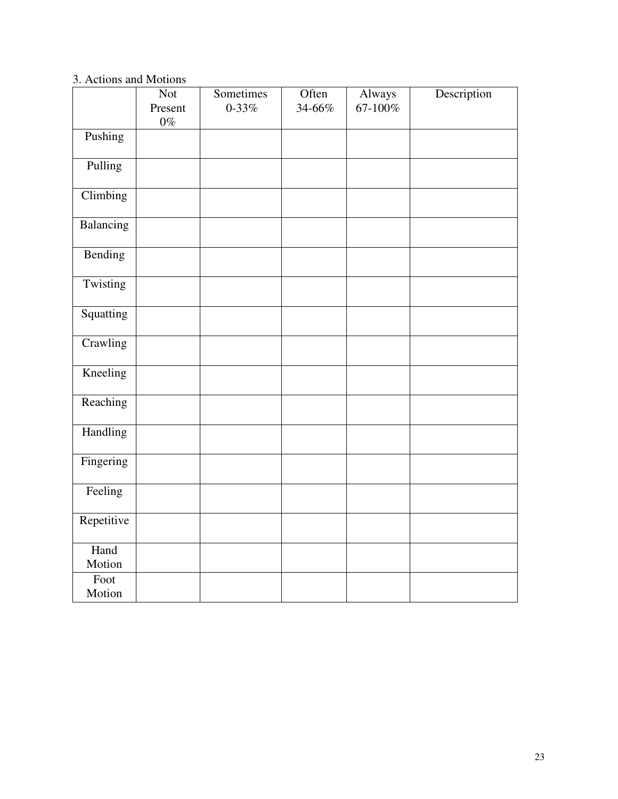# 3. Actions and Motions

|                | <b>Not</b>       | Sometimes | Often  | Always  | Description |
|----------------|------------------|-----------|--------|---------|-------------|
|                | Present<br>$0\%$ | $0 - 33%$ | 34-66% | 67-100% |             |
| Pushing        |                  |           |        |         |             |
| Pulling        |                  |           |        |         |             |
| Climbing       |                  |           |        |         |             |
| Balancing      |                  |           |        |         |             |
| Bending        |                  |           |        |         |             |
| Twisting       |                  |           |        |         |             |
| Squatting      |                  |           |        |         |             |
| Crawling       |                  |           |        |         |             |
| Kneeling       |                  |           |        |         |             |
| Reaching       |                  |           |        |         |             |
| Handling       |                  |           |        |         |             |
| Fingering      |                  |           |        |         |             |
| Feeling        |                  |           |        |         |             |
| Repetitive     |                  |           |        |         |             |
| Hand<br>Motion |                  |           |        |         |             |
| Foot<br>Motion |                  |           |        |         |             |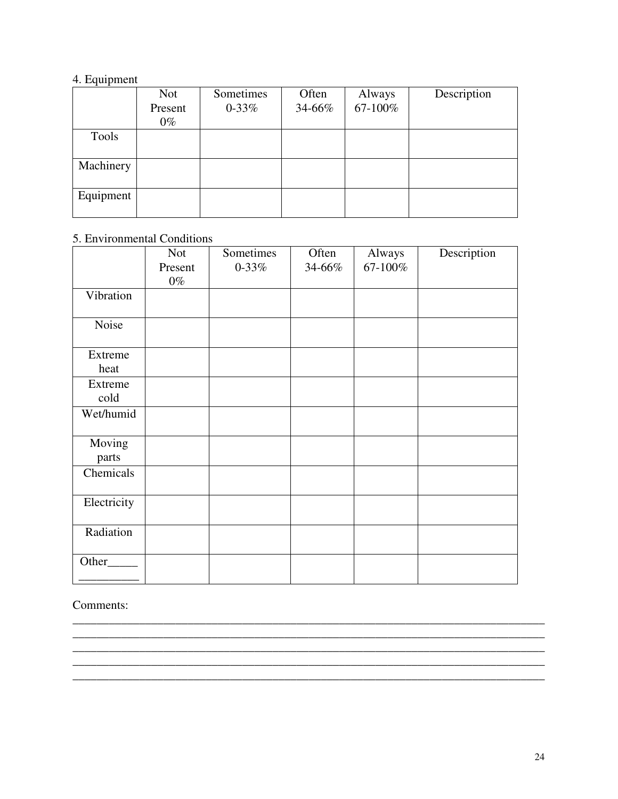# 4. Equipment

|           | <b>Not</b> | Sometimes | Often  | Always  | Description |
|-----------|------------|-----------|--------|---------|-------------|
|           | Present    | $0 - 33%$ | 34-66% | 67-100% |             |
|           | $0\%$      |           |        |         |             |
| Tools     |            |           |        |         |             |
|           |            |           |        |         |             |
| Machinery |            |           |        |         |             |
|           |            |           |        |         |             |
| Equipment |            |           |        |         |             |
|           |            |           |        |         |             |

# 5. Environmental Conditions

|                 | <b>Not</b>       | Sometimes | Often  | Always  | Description |
|-----------------|------------------|-----------|--------|---------|-------------|
|                 | Present<br>$0\%$ | $0 - 33%$ | 34-66% | 67-100% |             |
| Vibration       |                  |           |        |         |             |
| Noise           |                  |           |        |         |             |
| Extreme<br>heat |                  |           |        |         |             |
| Extreme<br>cold |                  |           |        |         |             |
| Wet/humid       |                  |           |        |         |             |
| Moving<br>parts |                  |           |        |         |             |
| Chemicals       |                  |           |        |         |             |
| Electricity     |                  |           |        |         |             |
| Radiation       |                  |           |        |         |             |
| Other_          |                  |           |        |         |             |

\_\_\_\_\_\_\_\_\_\_\_\_\_\_\_\_\_\_\_\_\_\_\_\_\_\_\_\_\_\_\_\_\_\_\_\_\_\_\_\_\_\_\_\_\_\_\_\_\_\_\_\_\_\_\_\_\_\_\_\_\_\_\_\_\_\_\_\_\_\_\_\_\_\_\_\_\_\_

\_\_\_\_\_\_\_\_\_\_\_\_\_\_\_\_\_\_\_\_\_\_\_\_\_\_\_\_\_\_\_\_\_\_\_\_\_\_\_\_\_\_\_\_\_\_\_\_\_\_\_\_\_\_\_\_\_\_\_\_\_\_\_\_\_\_\_\_\_\_\_\_\_\_\_\_\_\_ \_\_\_\_\_\_\_\_\_\_\_\_\_\_\_\_\_\_\_\_\_\_\_\_\_\_\_\_\_\_\_\_\_\_\_\_\_\_\_\_\_\_\_\_\_\_\_\_\_\_\_\_\_\_\_\_\_\_\_\_\_\_\_\_\_\_\_\_\_\_\_\_\_\_\_\_\_\_

Comments:

\_\_\_\_\_\_\_\_\_\_\_\_\_\_\_\_\_\_\_\_\_\_\_\_\_\_\_\_\_\_\_\_\_\_\_\_\_\_\_\_\_\_\_\_\_\_\_\_\_\_\_\_\_\_\_\_\_\_\_\_\_\_\_\_\_\_\_\_\_\_\_\_\_\_\_\_\_\_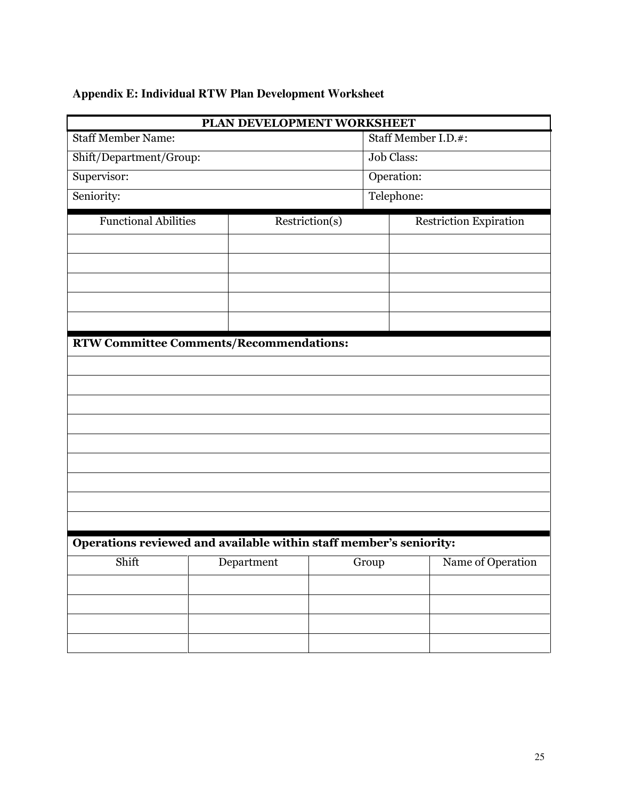# <span id="page-25-0"></span>**Appendix E: Individual RTW Plan Development Worksheet**

|                                                                    | PLAN DEVELOPMENT WORKSHEET |                |                               |  |  |  |  |
|--------------------------------------------------------------------|----------------------------|----------------|-------------------------------|--|--|--|--|
| <b>Staff Member Name:</b>                                          |                            |                | Staff Member I.D.#:           |  |  |  |  |
| Shift/Department/Group:                                            |                            |                | Job Class:                    |  |  |  |  |
| Supervisor:                                                        |                            |                | Operation:                    |  |  |  |  |
| Seniority:                                                         |                            |                | Telephone:                    |  |  |  |  |
| <b>Functional Abilities</b>                                        |                            | Restriction(s) | <b>Restriction Expiration</b> |  |  |  |  |
|                                                                    |                            |                |                               |  |  |  |  |
|                                                                    |                            |                |                               |  |  |  |  |
|                                                                    |                            |                |                               |  |  |  |  |
|                                                                    |                            |                |                               |  |  |  |  |
|                                                                    |                            |                |                               |  |  |  |  |
| <b>RTW Committee Comments/Recommendations:</b>                     |                            |                |                               |  |  |  |  |
|                                                                    |                            |                |                               |  |  |  |  |
|                                                                    |                            |                |                               |  |  |  |  |
|                                                                    |                            |                |                               |  |  |  |  |
|                                                                    |                            |                |                               |  |  |  |  |
|                                                                    |                            |                |                               |  |  |  |  |
|                                                                    |                            |                |                               |  |  |  |  |
|                                                                    |                            |                |                               |  |  |  |  |
|                                                                    |                            |                |                               |  |  |  |  |
|                                                                    |                            |                |                               |  |  |  |  |
| Operations reviewed and available within staff member's seniority: |                            |                |                               |  |  |  |  |
| Shift                                                              | Department                 | Group          | Name of Operation             |  |  |  |  |
|                                                                    |                            |                |                               |  |  |  |  |
|                                                                    |                            |                |                               |  |  |  |  |
|                                                                    |                            |                |                               |  |  |  |  |
|                                                                    |                            |                |                               |  |  |  |  |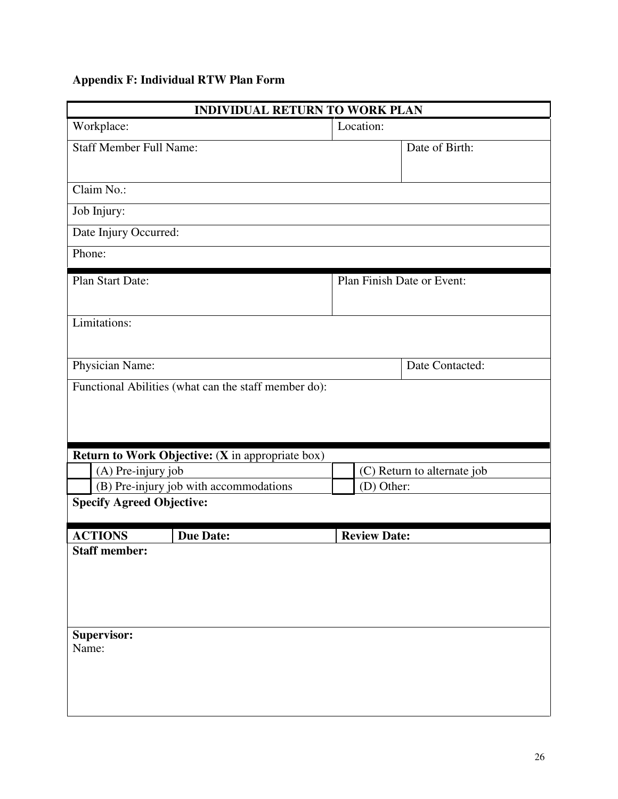# <span id="page-26-0"></span>**Appendix F: Individual RTW Plan Form**

| <b>INDIVIDUAL RETURN TO WORK PLAN</b> |                                                                                          |  |                             |                 |  |  |
|---------------------------------------|------------------------------------------------------------------------------------------|--|-----------------------------|-----------------|--|--|
| Workplace:                            |                                                                                          |  | Location:                   |                 |  |  |
| <b>Staff Member Full Name:</b>        |                                                                                          |  |                             | Date of Birth:  |  |  |
| Claim No.:                            |                                                                                          |  |                             |                 |  |  |
| Job Injury:                           |                                                                                          |  |                             |                 |  |  |
| Date Injury Occurred:                 |                                                                                          |  |                             |                 |  |  |
| Phone:                                |                                                                                          |  |                             |                 |  |  |
| Plan Start Date:                      |                                                                                          |  | Plan Finish Date or Event:  |                 |  |  |
| Limitations:                          |                                                                                          |  |                             |                 |  |  |
| Physician Name:                       |                                                                                          |  |                             | Date Contacted: |  |  |
|                                       |                                                                                          |  |                             |                 |  |  |
|                                       | <b>Return to Work Objective: (X in appropriate box)</b>                                  |  |                             |                 |  |  |
| (A) Pre-injury job                    |                                                                                          |  | (C) Return to alternate job |                 |  |  |
|                                       | (B) Pre-injury job with accommodations<br>(D) Other:<br><b>Specify Agreed Objective:</b> |  |                             |                 |  |  |
|                                       |                                                                                          |  |                             |                 |  |  |
| <b>ACTIONS</b>                        | <b>Due Date:</b>                                                                         |  | <b>Review Date:</b>         |                 |  |  |
| <b>Staff member:</b>                  |                                                                                          |  |                             |                 |  |  |
| Supervisor:<br>Name:                  |                                                                                          |  |                             |                 |  |  |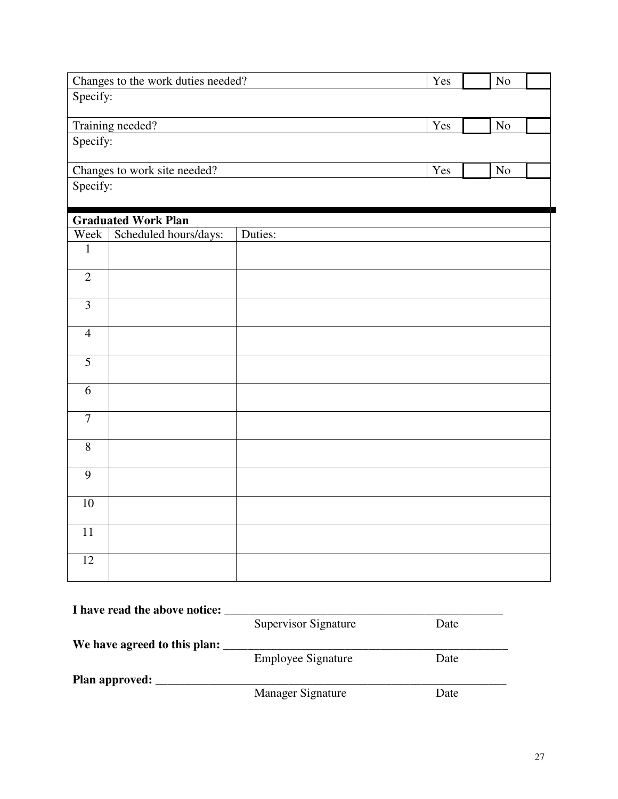| Changes to the work duties needed? |                            |         | Yes | N <sub>o</sub> |  |  |  |
|------------------------------------|----------------------------|---------|-----|----------------|--|--|--|
| Specify:                           |                            |         |     |                |  |  |  |
|                                    |                            |         |     |                |  |  |  |
| Training needed?                   |                            |         | Yes | $\rm No$       |  |  |  |
|                                    | Specify:                   |         |     |                |  |  |  |
| Changes to work site needed?       |                            |         | Yes | No             |  |  |  |
|                                    | Specify:                   |         |     |                |  |  |  |
|                                    |                            |         |     |                |  |  |  |
|                                    | <b>Graduated Work Plan</b> |         |     |                |  |  |  |
| Week<br>$\mathbf 1$                | Scheduled hours/days:      | Duties: |     |                |  |  |  |
|                                    |                            |         |     |                |  |  |  |
| $\overline{2}$                     |                            |         |     |                |  |  |  |
|                                    |                            |         |     |                |  |  |  |
| $\overline{3}$                     |                            |         |     |                |  |  |  |
| $\overline{4}$                     |                            |         |     |                |  |  |  |
|                                    |                            |         |     |                |  |  |  |
| $\overline{5}$                     |                            |         |     |                |  |  |  |
| $\overline{6}$                     |                            |         |     |                |  |  |  |
|                                    |                            |         |     |                |  |  |  |
| $\overline{7}$                     |                            |         |     |                |  |  |  |
| $\overline{8}$                     |                            |         |     |                |  |  |  |
|                                    |                            |         |     |                |  |  |  |
| $\overline{9}$                     |                            |         |     |                |  |  |  |
| $10\,$                             |                            |         |     |                |  |  |  |
|                                    |                            |         |     |                |  |  |  |
| 11                                 |                            |         |     |                |  |  |  |
| 12                                 |                            |         |     |                |  |  |  |
|                                    |                            |         |     |                |  |  |  |
|                                    |                            |         |     |                |  |  |  |

| I have read the above notice: |                             |      |
|-------------------------------|-----------------------------|------|
|                               | <b>Supervisor Signature</b> | Date |
| We have agreed to this plan:  |                             |      |
|                               | <b>Employee Signature</b>   | Date |
| <b>Plan approved:</b>         |                             |      |
|                               | Manager Signature           | Date |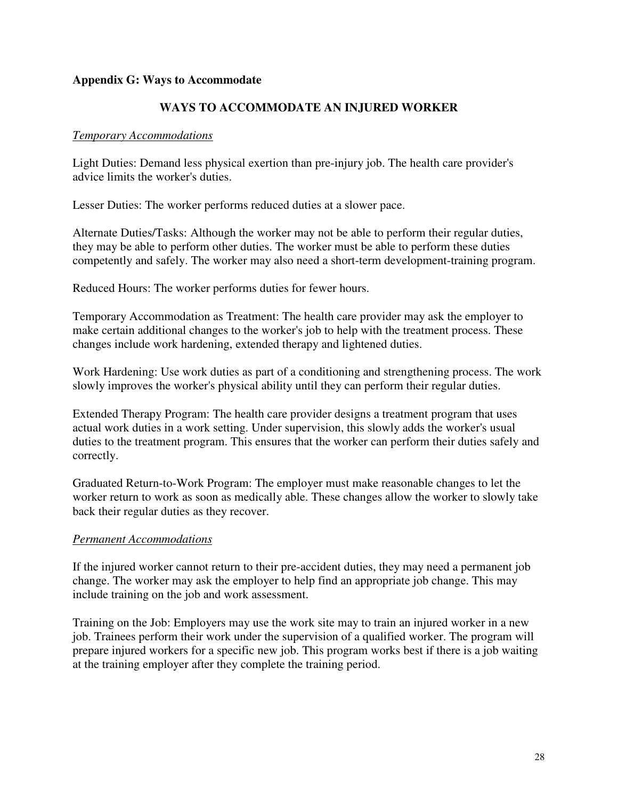#### <span id="page-28-0"></span>**Appendix G: Ways to Accommodate**

# **WAYS TO ACCOMMODATE AN INJURED WORKER**

## *Temporary Accommodations*

Light Duties: Demand less physical exertion than pre-injury job. The health care provider's advice limits the worker's duties.

Lesser Duties: The worker performs reduced duties at a slower pace.

Alternate Duties/Tasks: Although the worker may not be able to perform their regular duties, they may be able to perform other duties. The worker must be able to perform these duties competently and safely. The worker may also need a short-term development-training program.

Reduced Hours: The worker performs duties for fewer hours.

Temporary Accommodation as Treatment: The health care provider may ask the employer to make certain additional changes to the worker's job to help with the treatment process. These changes include work hardening, extended therapy and lightened duties.

Work Hardening: Use work duties as part of a conditioning and strengthening process. The work slowly improves the worker's physical ability until they can perform their regular duties.

Extended Therapy Program: The health care provider designs a treatment program that uses actual work duties in a work setting. Under supervision, this slowly adds the worker's usual duties to the treatment program. This ensures that the worker can perform their duties safely and correctly.

Graduated Return-to-Work Program: The employer must make reasonable changes to let the worker return to work as soon as medically able. These changes allow the worker to slowly take back their regular duties as they recover.

# *Permanent Accommodations*

If the injured worker cannot return to their pre-accident duties, they may need a permanent job change. The worker may ask the employer to help find an appropriate job change. This may include training on the job and work assessment.

Training on the Job: Employers may use the work site may to train an injured worker in a new job. Trainees perform their work under the supervision of a qualified worker. The program will prepare injured workers for a specific new job. This program works best if there is a job waiting at the training employer after they complete the training period.